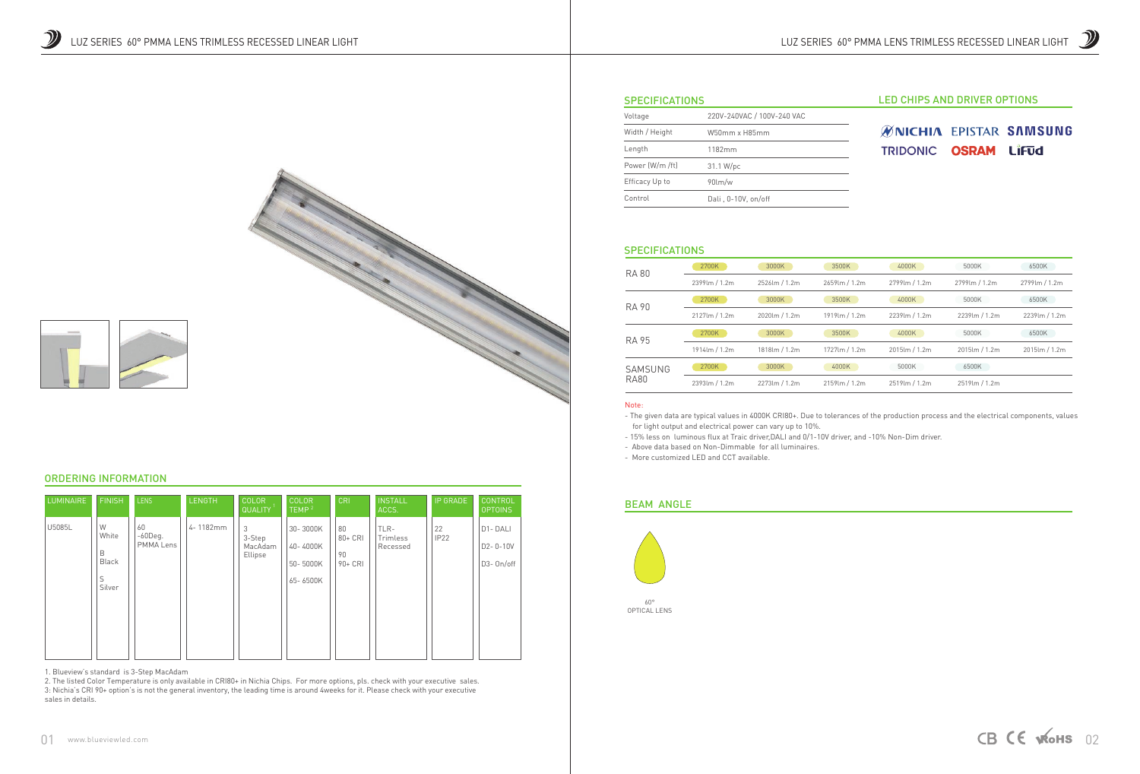





# LED CHIPS AND DRIVER OPTIONS

# **ØNICHIA EPISTAR SAMSUNG** TRIDONIC OSRAM LIFUd

| Voltage         | 220V-240VAC / 100V-240 VAC |  |  |
|-----------------|----------------------------|--|--|
| Width / Height  | W50mm x H85mm              |  |  |
| Length          | 1182mm                     |  |  |
| Power (W/m /ft) | 31.1 W/pc                  |  |  |
| Efficacy Up to  | $90$ lm/w                  |  |  |
| Control         | Dali, 0-10V, on/off        |  |  |

### **SPECIFICATIONS**

#### Note:

- The given data are typical values in 4000K CRI80+. Due to tolerances of the production process and the electrical components, values for light output and electrical power can vary up to 10%. - 15% less on luminous flux at Traic driver,DALI and 0/1-10V driver, and -10% Non-Dim driver.

- Above data based on Non-Dimmable for all luminaires.
- More customized LED and CCT available.

 $60^\circ$ OPTICAL LENS



| <b>RA 80</b> | 2700K          | 3000K         | 3500K          | 4000K          | 5000K            | 6500K         |
|--------------|----------------|---------------|----------------|----------------|------------------|---------------|
|              | 2399lm / 1.2m  | 2526lm / 1.2m | 2659lm / 1.2m  | 2799 lm / 1.2m | 2799 lm / 1.2m   | 2799lm / 1.2m |
| <b>RA 90</b> | 2700K          | 3000K         | 3500K          | 4000K          | 5000K            | 6500K         |
|              | 2127lm / 1.2m  | 2020lm / 1.2m | 1919lm / 1.2m  | 2239lm / 1.2m  | 2239lm / 1.2m    | 2239lm / 1.2m |
| <b>RA 95</b> | 2700K          | 3000K         | 3500K          | 4000K          | 5000K            | 6500K         |
|              | 1914 lm / 1.2m | 1818lm / 1.2m | 1727 lm / 1.2m | 2015lm / 1.2m  | $2015$ lm / 1.2m | 2015lm / 1.2m |
| SAMSUNG      | 2700K          | 3000K         | 4000K          | 5000K          | 6500K            |               |
| <b>RA80</b>  | 2393lm / 1.2m  | 2273lm / 1.2m | 2159 lm / 1.2m | 2519lm / 1.2m  | 2519lm / 1.2m    |               |

# BEAM ANGLE



# ORDERING INFORMATION

1. Blueview's standard is 3-Step MacAdam

| <b>LUMINAIRE</b> | <b>FINISH</b>                                  | <b>LENS</b>                   | <b>LENGTH</b> | <b>COLOR</b><br><b>QUALITY</b>    | <b>COLOR</b><br>TEMP <sup>2</sup>            | <b>CRI</b>                           | <b>INSTALL</b><br>ACCS.      | <b>IP GRADE</b>        | <b>CONTROL</b><br><b>OPTOINS</b>  |
|------------------|------------------------------------------------|-------------------------------|---------------|-----------------------------------|----------------------------------------------|--------------------------------------|------------------------------|------------------------|-----------------------------------|
| U5085L           | W<br>White<br>B<br><b>Black</b><br>S<br>Silver | 60<br>$-60$ Deg.<br>PMMA Lens | 4-1182mm      | 3<br>3-Step<br>MacAdam<br>Ellipse | 30-3000K<br>40-4000K<br>50-5000K<br>65-6500K | 80<br>$80 + CRI$<br>90<br>$90 + CRI$ | TLR-<br>Trimless<br>Recessed | 22<br>IP <sub>22</sub> | D1-DALI<br>D2-0-10V<br>D3- On/off |

2. The listed Color Temperature is only available in CRI80+ in Nichia Chips. For more options, pls. check with your executive sales. 3: Nichia's CRI 90+ option's is not the general inventory, the leading time is around 4weeks for it. Please check with your executive sales in details.

## **SPECIFICATIONS**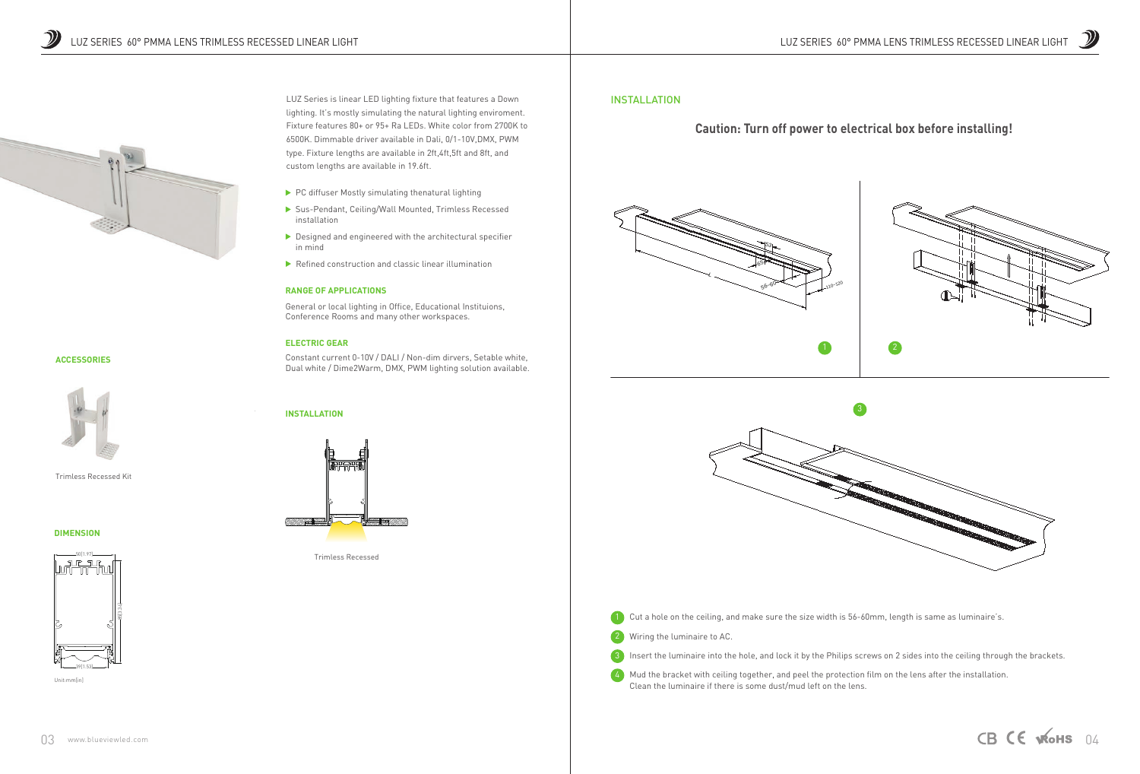# **ACCESSORIES**



### **RANGE OF APPLICATIONS**

General or local lighting in Office, Educational Instituions, Conference Rooms and many other workspaces.

### **ELECTRIC GEAR**

Constant current 0-10V / DALI / Non-dim dirvers, Setable white, Dual white / Dime2Warm, DMX, PWM lighting solution available.

# **INSTALLATION**



LUZ Series is linear LED lighting fixture that features a Down lighting. It's mostly simulating the natural lighting enviroment. Fixture features 80+ or 95+ Ra LEDs. White color from 2700K to 6500K. Dimmable driver available in Dali, 0/1-10V,DMX, PWM type. Fixture lengths are available in 2ft,4ft,5ft and 8ft, and custom lengths are available in 19.6ft.

- $\blacktriangleright$  PC diffuser Mostly simulating thenatural lighting
- Sus-Pendant, Ceiling/Wall Mounted, Trimless Recessed installation
- $\triangleright$  Designed and engineered with the architectural specifier in mind
- $\blacktriangleright$  Refined construction and classic linear illumination

4) Mud the bracket with ceiling together, and peel the protection film on the lens after the installation. Clean the luminaire if there is some dust/mud left on the lens.

#### **DIMENSION**

Trimless Recessed









Unit:mm[in]



Trimless Recessed Kit

# INSTALLATION

# **Caution: Turn off power to electrical box before installing!**